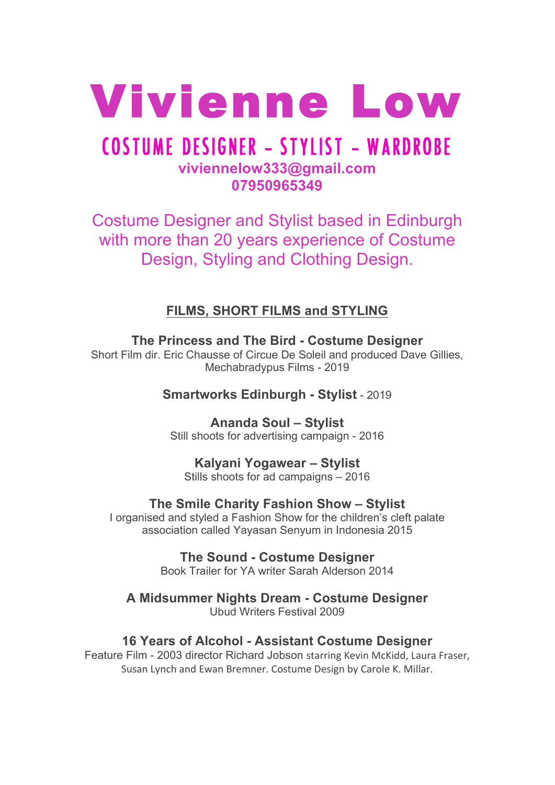

# COSTUME DESIGNER **-** STYLIST **-** WARDROBE **viviennelow333@gmail.com 07950965349**

Costume Designer and Stylist based in Edinburgh with more than 20 years experience of Costume Design, Styling and Clothing Design.

**FILMS, SHORT FILMS and STYLING**

**The Princess and The Bird - Costume Designer** Short Film dir. Eric Chausse of Circue De Soleil and produced Dave Gillies, Mechabradypus Films - 2019

**Smartworks Edinburgh - Stylist** - 2019

**Ananda Soul – Stylist** Still shoots for advertising campaign - 2016

**Kalyani Yogawear – Stylist** Stills shoots for ad campaigns – 2016

**The Smile Charity Fashion Show – Stylist** I organised and styled a Fashion Show for the children's cleft palate association called Yayasan Senyum in Indonesia 2015

> **The Sound - Costume Designer** Book Trailer for YA writer Sarah Alderson 2014

**A Midsummer Nights Dream - Costume Designer** Ubud Writers Festival 2009

**16 Years of Alcohol - Assistant Costume Designer**

Feature Film - 2003 director Richard Jobson starring Kevin McKidd, Laura Fraser, Susan Lynch and Ewan Bremner. Costume Design by Carole K. Millar.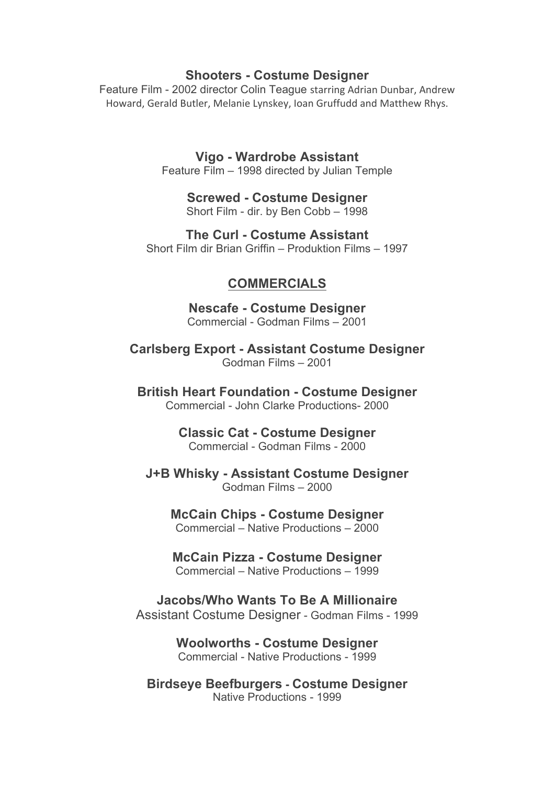#### **Shooters - Costume Designer**

Feature Film - 2002 director Colin Teague starring Adrian Dunbar, Andrew Howard, Gerald Butler, Melanie Lynskey, Ioan Gruffudd and Matthew Rhys.

> **Vigo - Wardrobe Assistant** Feature Film – 1998 directed by Julian Temple

> > **Screwed - Costume Designer** Short Film - dir. by Ben Cobb – 1998

**The Curl - Costume Assistant** Short Film dir Brian Griffin – Produktion Films – 1997

### **COMMERCIALS**

**Nescafe - Costume Designer** Commercial - Godman Films – 2001

**Carlsberg Export - Assistant Costume Designer** Godman Films – 2001

**British Heart Foundation - Costume Designer** Commercial - John Clarke Productions- 2000

> **Classic Cat - Costume Designer** Commercial - Godman Films - 2000

**J+B Whisky - Assistant Costume Designer** Godman Films – 2000

**McCain Chips - Costume Designer** Commercial – Native Productions – 2000

**McCain Pizza - Costume Designer** Commercial – Native Productions – 1999

**Jacobs/Who Wants To Be A Millionaire** Assistant Costume Designer - Godman Films - 1999

> **Woolworths - Costume Designer** Commercial - Native Productions - 1999

**Birdseye Beefburgers - Costume Designer** Native Productions - 1999